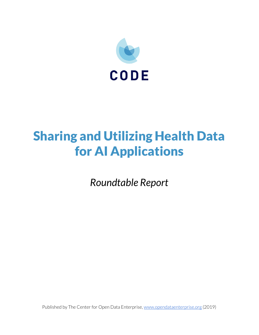

# Sharing and Utilizing Health Data for AI Applications

*Roundtable Report*

Published by The Center for Open Data Enterprise, [www.opendataenterprise.org](http://www.opendataenterprise.org/) (2019)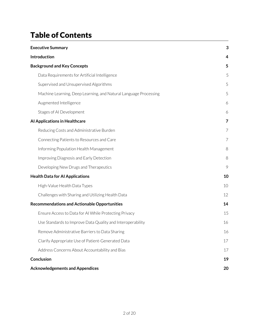# Table of Contents

| <b>Executive Summary</b>                                         | 3  |
|------------------------------------------------------------------|----|
| Introduction                                                     | 4  |
| <b>Background and Key Concepts</b>                               | 5  |
| Data Requirements for Artificial Intelligence                    | 5  |
| Supervised and Unsupervised Algorithms                           | 5  |
| Machine Learning, Deep Learning, and Natural Language Processing | 5  |
| Augmented Intelligence                                           | 6  |
| Stages of AI Development                                         | 6  |
| Al Applications in Healthcare                                    | 7  |
| Reducing Costs and Administrative Burden                         | 7  |
| Connecting Patients to Resources and Care                        | 7  |
| Informing Population Health Management                           | 8  |
| Improving Diagnosis and Early Detection                          | 8  |
| Developing New Drugs and Therapeutics                            | 9  |
| <b>Health Data for Al Applications</b>                           | 10 |
| High-Value Health Data Types                                     | 10 |
| Challenges with Sharing and Utilizing Health Data                | 12 |
| <b>Recommendations and Actionable Opportunities</b>              | 14 |
| Ensure Access to Data for AI While Protecting Privacy            | 15 |
| Use Standards to Improve Data Quality and Interoperability       | 16 |
| Remove Administrative Barriers to Data Sharing                   | 16 |
| Clarify Appropriate Use of Patient-Generated Data                | 17 |
| Address Concerns About Accountability and Bias                   | 17 |
| Conclusion                                                       | 19 |
| <b>Acknowledgements and Appendices</b>                           | 20 |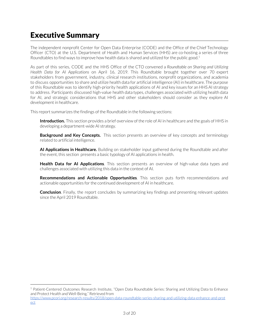# <span id="page-2-0"></span>Executive Summary

The independent nonprofit Center for Open Data Enterprise (CODE) and the Office of the Chief Technology Officer (CTO) at the U.S. Department of Health and Human Services (HHS) are co-hosting a series of three Roundtables to find ways to improve how health data is shared and utilized for the public good.<sup>1</sup>

As part of this series, CODE and the HHS Office of the CTO convened a *Roundtable on Sharing and Utilizing Health Data for AI Applications* on April 16, 2019. This Roundtable brought together over 70 expert stakeholders from government, industry, clinical research institutions, nonprofit organizations, and academia to discuss opportunities to share and utilize health data for artificial intelligence (AI) in healthcare. The purpose of this Roundtable was to identify high-priority health applications of AI and key issues for an HHS AI strategy to address. Participants discussed high-value health data types, challenges associated with utilizing health data for AI, and strategic considerations that HHS and other stakeholders should consider as they explore AI development in healthcare.

This report summarizes the findings of the Roundtable in the following sections:

**Introduction.** This section provides a brief overview of the role of AI in healthcare and the goals of HHS in developing a department-wide AI strategy.

**Background and Key Concepts.** This section presents an overview of key concepts and terminology related to artificial intelligence.

**AI Applications in Healthcare.** Building on stakeholder input gathered during the Roundtable and after the event, this section presents a basic typology of AI applications in health.

**Health Data for AI Applications**. This section presents an overview of high-value data types and challenges associated with utilizing this data in the context of AI.

**Recommendations and Actionable Opportunities**. This section puts forth recommendations and actionable opportunities for the continued development of AI in healthcare.

**Conclusion**. Finally, the report concludes by summarizing key findings and presenting relevant updates since the April 2019 Roundtable.

<sup>1</sup> Patient-Centered Outcomes Research Institute, "Open Data Roundtable Series: Sharing and Utilizing Data to Enhance and Protect Health and Well-Being," Retrieved from

[https://www.pcori.org/research-results/2018/open-data-roundtable-series-sharing-and-utilizing-data-enhance-and-prot](https://www.pcori.org/research-results/2018/open-data-roundtable-series-sharing-and-utilizing-data-enhance-and-protect) [ect](https://www.pcori.org/research-results/2018/open-data-roundtable-series-sharing-and-utilizing-data-enhance-and-protect)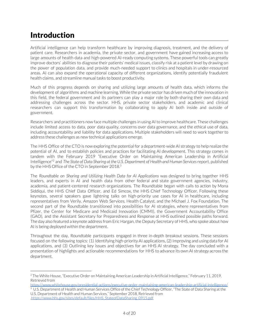# <span id="page-3-0"></span>Introduction

Artificial intelligence can help transform healthcare by improving diagnosis, treatment, and the delivery of patient care. Researchers in academia, the private sector, and government have gained increasing access to large amounts of health data and high-powered AI-ready computing systems. These powerful tools can greatly improve doctors' abilities to diagnose their patients' medical issues, classify risk at a patient level by drawing on the power of population data, and provide much-needed support to clinics and hospitals in under-resourced areas. AI can also expand the operational capacity of different organizations, identify potentially fraudulent health claims, and streamline manual tasks to boost productivity.

Much of this progress depends on sharing and utilizing large amounts of health data, which informs the development of algorithms and machine learning. While the private sector has driven much of the innovation in this field, the federal government and its partners can play a major role by both sharing their own data and addressing challenges across the sector. HHS, private sector stakeholders, and academic and clinical researchers can support this transformation by collaborating to apply AI both inside and outside of government.

Researchers and practitioners now face multiple challenges in using AI to improve healthcare. These challenges include limited access to data, poor data quality, concerns over data governance, and the ethical use of data, including accountability and liability for data applications. Multiple stakeholders will need to work together to address these challenges as new technical applications emerge.

The HHS Office of the CTO is now exploring the potential for a department-wide AI strategy to help realize the potential of AI, and to establish policies and practices for facilitating AI development. This strategy comes in tandem with the February 2019 "Executive Order on Maintaining American Leadership in Artificial Intelligence"<sup>2</sup> and *The State of Data Sharing at the U.S. Department of Health and Human Services report, published* by the HHS Office of the CTO in September 2018.<sup>3</sup>

The *Roundtable on Sharing and Utilizing Health Data for AI Applications* was designed to bring together HHS leaders, and experts in AI and health data from other federal and state government agencies, industry, academia, and patient-centered research organizations. The Roundtable began with calls to action by Mona Siddiqui, the HHS Chief Data Officer*,* and Ed Simcox, the HHS Chief Technology Officer. Following these keynotes, several speakers gave lightning talks on high-priority use cases for AI in healthcare, including representatives from Verily, Amazon Web Services, Health Catalyst, and the Michael J. Fox Foundation. The second part of the Roundtable transitioned into possibilities for AI strategies, where representatives from Pfizer, the Center for Medicare and Medicaid Innovation (CMMI), the Government Accountability Office (GAO), and the Assistant Secretary for Preparedness and Response at HHS outlined possible paths forward. The day also featured a keynote address from Eric Hargan, the Deputy Secretary of HHS, who spoke about how AI is being deployed within the department.

Throughout the day, Roundtable participants engaged in three in-depth breakout sessions. These sessions focused on the following topics: (1) Identifying high-priority AI applications, (2) Improving and using data for AI applications, and (3) Outlining key issues and objectives for an HHS AI strategy. The day concluded with a presentation of highlights and actionable recommendations for HHS to advance its own AI strategy across the department.

<sup>&</sup>lt;sup>2</sup> The White House, "Executive Order on Maintaining American Leadership in Artificial Intelligence," February 11, 2019, Retrieved from

<https://www.whitehouse.gov/presidential-actions/executive-order-maintaining-american-leadership-artificial-intelligence/>

<sup>3</sup> U.S. Department of Health and Human Services Office of the Chief Technology Officer, "The State of Data Sharing at the U.S. Department of Health and Human Services," September 2018, Retrieved from .[https://www.hhs.gov/sites/default/files/HHS\\_StateofDataSharing\\_0915.pdf](https://www.hhs.gov/sites/default/files/HHS_StateofDataSharing_0915.pdf)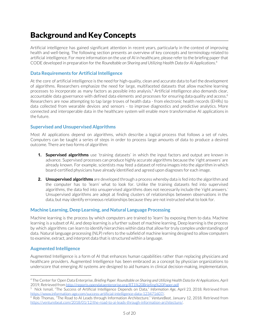# <span id="page-4-0"></span>Background and Key Concepts

Artificial intelligence has gained significant attention in recent years, particularly in the context of improving health and well-being. The following section presents an overview of key concepts and terminology related to artificial intelligence. For more information on the use of AI in healthcare, please referto the briefing paperthat CODE developed in preparation forthe *Roundtable on Sharing and Utilizing Health Data for AI Applications*. 4

### <span id="page-4-1"></span>**Data Requirements for Artificial Intelligence**

At the core of artificial intelligence is the need for high-quality, clean and accurate data to fuel the development of algorithms. Researchers emphasize the need for large, multifaceted datasets that allow machine learning processes to incorporate as many factors as possible into analysis.<sup>5</sup> Artificial intelligence also demands clear, accountable data governance with defined data elements and processes for ensuring data quality and access. 6 Researchers are now attempting to tap large troves of health data - from electronic health records (EHRs) to data collected from wearable devices and sensors - to improve diagnostics and predictive analytics. More connected and interoperable data in the healthcare system will enable more transformative AI applications in the future.

### <span id="page-4-2"></span>**Supervised and Unsupervised Algorithms**

Most AI applications depend on algorithms, which describe a logical process that follows a set of rules. Computers can be taught a series of steps in order to process large amounts of data to produce a desired outcome. There are two forms of algorithm:

- **1. Supervised algorithms** use 'training datasets' in which the input factors and output are known in advance. Supervised processes can produce highly accurate algorithms because the 'right answers' are already known. For example, scientists may feed a dataset of retina images into the algorithm in which board-certified physicians have already identified and agreed upon diagnoses for each image.
- **2. Unsupervised algorithms** are developed through a process whereby data is fed into the algorithm and the computer has to 'learn' what to look for. Unlike the training datasets fed into supervised algorithms, the data fed into unsupervised algorithms does not necessarily include the 'right answers.' Unsupervised algorithms are adept at finding clusters of relationships between observations in the data, but may identify erroneous relationships because they are not instructed what to look for.

#### <span id="page-4-3"></span>**Machine Learning, Deep Learning, and Natural Language Processing**

Machine learning is the process by which computers are trained to 'learn' by exposing them to data. Machine learning is a subset of AI, and deep learning is a further subset of machine learning. Deep learning is the process by which algorithms can learn to identify hierarchies within data that allow fortruly complex understandings of data. Natural language processing (NLP) refers to the subfield of machine learning designed to allow computers to examine, extract, and interpret data that is structured within a language.

### <span id="page-4-4"></span>**Augmented Intelligence**

Augmented Intelligence is a form of AI that enhances human capabilities rather than replacing physicians and healthcare providers. Augmented Intelligence has been embraced as a concept by physician organizations to underscore that emerging AI systems are designed to aid humans in clinical decision-making, implementation,

<sup>4</sup> The Centerfor Open Data Enterprise, *Briefing Paper: Roundtable on Sharing and Utilizing Health Data for AI Applications*, April 2019, Retrieved from <http://reports.opendataenterprise.org/RT1%20Briefing%20Paper.pdf>

<sup>5</sup> Nick Ismail, "The Success of Artificial Intelligence Depends on Data," *Information Age*, April 23, 2018. Retrieved from <https://www.information-age.com/success-artificial-intelligence-data-123471607/>.

<sup>6</sup> Rob Thomas, "The Road to AI Leads through Information Architecture." *VentureBeat*, January 12, 2018. Retrieved from <https://venturebeat.com/2018/01/12/the-road-to-ai-leads-through-information-architecture/>.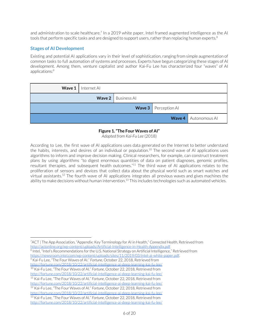and administration to scale healthcare.<sup>7</sup> In a 2019 white paper, Intel framed augmented intelligence as the AI tools that perform specific tasks and are designed to support users, rather than replacing human experts. $^8$ 

#### <span id="page-5-0"></span>**Stages of AI Development**

Existing and potential AI applications vary in their level of sophistication,ranging from simple augmentation of common tasks to full automation of systems and processes. Experts have begun categorizing these stages of AI development. Among them, venture capitalist and author Kai-Fu Lee has characterized four "waves" of AI applications: 9

| Wave 1   Internet AI |                           |                             |                               |
|----------------------|---------------------------|-----------------------------|-------------------------------|
|                      | <b>Wave 2</b> Business AI |                             |                               |
|                      |                           | <b>Wave 3</b> Perception AI |                               |
|                      |                           |                             | <b>Wave 4</b>   Autonomous AI |

#### **Figure 1."The Four Waves of AI"**

*Adapted from Kai-Fu Lee* (2018)

According to Lee, the first wave of AI applications uses data generated on the Internet to better understand the habits, interests, and desires of an individual or population.<sup>10</sup> The second wave of AI applications uses algorithms to inform and improve decision making. Clinical researchers, for example, can construct treatment plans by using algorithms "to digest enormous quantities of data on patient diagnoses, genomic profiles, resultant therapies, and subsequent health outcomes."<sup>11</sup> The third wave of AI applications relates to the proliferation of sensors and devices that collect data about the physical world such as smart watches and virtual assistants.<sup>12</sup> The fourth wave of AI applications integrates all previous waves and gives machines the ability to make decisions without human intervention. $^{13}$  This includes technologies such as automated vehicles.

<sup>7</sup>ACT | The App Association, "Appendix: Key Terminology for AI in Health," *Connected Health*, Retrieved from <http://actonline.org/wp-content/uploads/Artificial-Intelligence-in-Health-Appendix.pdf>

<sup>8</sup> Intel, "Intel's Recommendations for the U.S. National Strategy on Artificial Intelligence," Retrieved from [https://newsroom.intel.com/wp-content/uploads/sites/11/2019/03/intel-ai-white-paper.pdf.](https://newsroom.intel.com/wp-content/uploads/sites/11/2019/03/intel-ai-white-paper.pdf)

- <sup>9</sup> Kai-Fu Lee, "The Four Waves of AI." *Fortune*, October 22, 2018, Retrieved from <http://fortune.com/2018/10/22/artificial-intelligence-ai-deep-learning-kai-fu-lee/>
- <sup>10</sup> Kai-Fu Lee, "The Four Waves of AI." *Fortune*, October 22, 2018, Retrieved from <http://fortune.com/2018/10/22/artificial-intelligence-ai-deep-learning-kai-fu-lee/>
- <sup>11</sup> Kai-Fu Lee, "The Four Waves of AI." *Fortune*, October 22, 2018, Retrieved from

<http://fortune.com/2018/10/22/artificial-intelligence-ai-deep-learning-kai-fu-lee/>

<sup>12</sup> Kai-Fu Lee, "The Four Waves of AI." *Fortune*, October 22, 2018, Retrieved from

<http://fortune.com/2018/10/22/artificial-intelligence-ai-deep-learning-kai-fu-lee/> <sup>13</sup> Kai-Fu Lee, "The Four Waves of AI." *Fortune*, October 22, 2018, Retrieved from

<http://fortune.com/2018/10/22/artificial-intelligence-ai-deep-learning-kai-fu-lee/>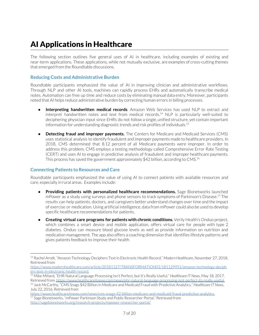# <span id="page-6-0"></span>AI Applications in Healthcare

The following section outlines five general uses of AI in healthcare, including examples of existing and near-term applications. These applications, while not mutually exclusive, are examples of cross-cutting themes that emerged from the Roundtable discussions.

#### <span id="page-6-1"></span>**Reducing Costs and Administrative Burden**

Roundtable participants emphasized the value of AI in improving clinician and administrative workflows. Through NLP and other AI tools, machines can rapidly process EHRs and automatically transcribe medical notes. Automation can free up time and reduce costs by eliminating manual data entry. Moreover, participants noted that AI helps reduce administrative burden by correcting human errors in billing processes.

- **Interpreting handwritten medical records**. Amazon Web Services has used NLP to extract and interpret handwritten notes and text from medical records.<sup>14</sup> NLP is particularly well-suited to deciphering physician input since EHRs do not follow a single, unified structure, yet contain important information for understanding diagnostic trends and risk profiles of individuals. 15
- **Detecting fraud and <b>improper** payments. The Centers for Medicare and Medicaid Services (CMS) uses statistical analysis to identify fraudulent and improper payments made to healthcare providers. In 2018, CMS determined that 8.12 percent of all Medicare payments were improper. In order to address this problem, CMS employs a testing methodology called Comprehensive Error Rate Testing (CERT) and uses AI to engage in predictive analysis of fraudulent and improper healthcare payments. This process has saved the government approximately \$42 billion, according to CMS.<sup>16</sup>

#### <span id="page-6-2"></span>**Connecting Patients to Resources and Care**

Roundtable participants emphasized the value of using AI to connect patients with available resources and care, especially in rural areas. Examples include:

- **● Providing patients with personalized healthcare recommendations.** Sage Bionetworks launched mPower as a study using surveys and phone sensors to track symptoms of Parkinson's Disease. $^{17}$  The results can help patients, doctors, and caregivers better understand changes overtime and the impact of exercise or medication. Using artificial intelligence, data from mPower could also be used to develop specific healthcare recommendations for patients.
- **● Creating virtual care programs for patients with chronic conditions.** Verily Health's Onduo project, which combines a smart device and mobile application, offers virtual care for people with type 2 diabetes. Onduo can measure blood glucose levels as well as provide information on nutrition and medication management. The app also offers a coaching dimension that identifies lifestyle patterns and gives patients feedback to improve their health.

<sup>14</sup> Rachel Arndt, "Amazon Technology Deciphers Text in Electronic Health Record," *Modern Healthcare*, November 27, 2018, Retrieved from

[https://www.modernhealthcare.com/article/20181127/TRANSFORMATION01/181129951/amazon-technology-deciph](https://www.modernhealthcare.com/article/20181127/TRANSFORMATION01/181129951/amazon-technology-deciphers-text-in-electronic-health-record) [ers-text-in-electronic-health-record.](https://www.modernhealthcare.com/article/20181127/TRANSFORMATION01/181129951/amazon-technology-deciphers-text-in-electronic-health-record)

<sup>15</sup> Mike Miliard, "EHR Natural Language Processing Isn't Perfect, but It's Really Useful," *Healthcare IT News*, May 18, 2017. Retrieved from [https://www.healthcareitnews.com/news/ehr-natural-language-processing-isnt-perfect-its-really-useful.](https://www.healthcareitnews.com/news/ehr-natural-language-processing-isnt-perfect-its-really-useful)

<sup>16</sup> Jack McCarthy, "CMS Snags \$42 Billion in Medicare and Medicaid Fraud with Predictive Analytics." *Healthcare IT News*, July 22, 2016, Retrieved from

[https://www.healthcareitnews.com/news/cms-snags-42-billion-medicare-and-medicaid-fraud-predictive-analytics.](https://www.healthcareitnews.com/news/cms-snags-42-billion-medicare-and-medicaid-fraud-predictive-analytics) <sup>17</sup> Sage Bionetworks, "mPower Parkinson Study and Public Researcher Portal," Retrieved from <http://sagebionetworks.org/research-projects/mpower-researcher-portal/>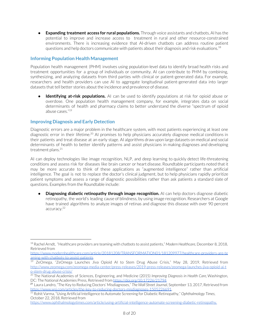**● Expanding treatment access for rural populations.** Through voice assistants and chatbots, AI has the potential to improve and increase access to treatment in rural and other resource-constrained environments. There is increasing evidence that AI-driven chatbots can address routine patient questions and help doctors communicate with patients about their diagnosis and risk evaluations. $^{\rm 18}$ 

#### <span id="page-7-0"></span>**Informing Population Health Management**

Population health management (PHM) involves using population-level data to identify broad health risks and treatment opportunities for a group of individuals or community. AI can contribute to PHM by combining, synthesizing, and analyzing datasets from third parties with clinical or patient-generated data. For example, researchers and health providers can use AI to aggregate longitudinal patient-generated data into larger datasets that tell better stories about the incidence and prevalence of disease.

**Identifying at-risk populations.** AI can be used to identify populations at risk for opioid abuse or overdose. One population health management company, for example, integrates data on social determinants of health and pharmacy claims to better understand the diverse "spectrum of opioid abuse cases." 19

### <span id="page-7-1"></span>**Improving Diagnosis and Early Detection**

Diagnostic errors are a major problem in the healthcare system, with most patients experiencing at least one diagnostic error in their lifetime.<sup>20</sup> AI promises to help physicians accurately diagnose medical conditions in their patients and treat disease at an early stage. AI algorithms draw upon large datasets on medical and social determinants of health to better identify patterns and assist physicians in making diagnoses and developing treatment plans. 21

AI can deploy technologies like image recognition, NLP, and deep learning to quickly detect life-threatening conditions and assess risk for diseases like brain cancer or heart disease. Roundtable participants noted that it may be more accurate to think of these applications as "augmented intelligence" rather than artificial intelligence. The goal is not to replace the doctor's clinical judgment, but to help physicians rapidly prioritize patient symptoms and assess a range of diagnostic possibilities rather than ask patients a standard slate of questions. Examples from the Roundtable include:

● **Diagnosing diabetic retinopathy through image recognition.** AI can help doctors diagnose diabetic retinopathy, the world's leading cause of blindness, by using image recognition. Researchers at Google have trained algorithms to analyze images of retinas and diagnose this disease with over 90 percent accuracy. 22

<sup>18</sup> Rachel Arndt, "Healthcare providers are teaming with chatbots to assist patients," *Modern Healthcare*, December 8, 2018, Retrieved from

[https://www.modernhealthcare.com/article/20181208/TRANSFORMATION01/181209977/healthcare-providers-are-te](https://www.modernhealthcare.com/article/20181208/TRANSFORMATION01/181209977/healthcare-providers-are-teaming-with-chatbots-to-assist-patients) [aming-with-chatbots-to-assist-patients](https://www.modernhealthcare.com/article/20181208/TRANSFORMATION01/181209977/healthcare-providers-are-teaming-with-chatbots-to-assist-patients)

<sup>&</sup>lt;sup>19</sup> ZeOmega, "ZeOmega Launches Jiva Opioid AI to Stem Drug Abuse Crisis," May 28, 2019, Retrieved from [http://www.zeomega.com/zeomega-media-center/press-releases/2019-press-releases/zeomega-launches-jiva-opioid-ai-t](http://www.zeomega.com/zeomega-media-center/press-releases/2019-press-releases/zeomega-launches-jiva-opioid-ai-to-stem-drug-abuse-crisis/) [o-stem-drug-abuse-crisis/](http://www.zeomega.com/zeomega-media-center/press-releases/2019-press-releases/zeomega-launches-jiva-opioid-ai-to-stem-drug-abuse-crisis/)

<sup>20</sup> The National Academies of Sciences, Engineering, and Medicine (2015) *Improving Diagnosis in Health Care*, Washington, DC: The National Academies Press, Retrieved from <https://doi.org/10.17226/21794>

<sup>21</sup> Laura Landro, "The Key to Reducing Doctors' Misdiagnoses," *The Wall Street Journal*, September 13, 2017, Retrieved from [https://www.wsj.com/articles/the-key-to-reducing-doctors-misdiagnoses-1505226691.](https://www.wsj.com/articles/the-key-to-reducing-doctors-misdiagnoses-1505226691)

<sup>22</sup> Rohit Varma, "Using Artificial Intelligence to Automate Screening for Diabetic Retinopathy," *Ophthalmology Times*, October 22, 2018, Retrieved from

[https://www.ophthalmologytimes.com/article/using-artificial-intelligence-automate-screening-diabetic-retinopathy.](https://www.ophthalmologytimes.com/article/using-artificial-intelligence-automate-screening-diabetic-retinopathy)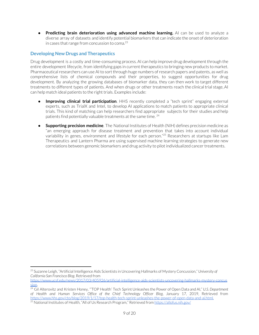● **Predicting brain deterioration using advanced machine learning.** AI can be used to analyze a diverse array of datasets and identify potential biomarkers that can indicate the onset of deterioration in cases that range from concussion to coma. $^{23}$ 

### <span id="page-8-0"></span>**Developing New Drugs and Therapeutics**

Drug development is a costly and time-consuming process. AI can help improve drug development through the entire development lifecycle, from identifying gaps in current therapeutics to bringing new products to market. Pharmaceutical researchers can use AI to sort through huge numbers of research papers and patents, as well as comprehensive lists of chemical compounds and their properties, to suggest opportunities for drug development. By analyzing the growing databases of biomarker data, they can then work to target different treatments to different types of patients. And when drugs or other treatments reach the clinical trial stage, AI can help match ideal patients to the right trials. Examples include:

- **● Improving clinical trial participation**. HHS recently completed a "tech sprint" engaging external experts, such as TrialX and Intel, to develop AI applications to match patients to appropriate clinical trials. This kind of matching can help researchers find appropriate subjects for their studies and help patients find potentially valuable treatments at the same time. 24
- **Supporting precision medicine**. The National Institutes of Health (NIH) defines precision medicine as "an emerging approach for disease treatment and prevention that takes into account individual variability in genes, environment and lifestyle for each person." <sup>25</sup> Researchers at startups like Lam Therapeutics and Lantern Pharma are using supervised machine learning strategies to generate new correlations between genomic biomarkers and drug activity to pilot individualized cancer treatments.

<sup>23</sup> Suzanne Leigh, "Artificial Intelligence Aids Scientists in Uncovering Hallmarks of Mystery Concussion," *University of California San Francisco Blog*. Retrieved from

[https://www.ucsf.edu/news/2017/03/405926/artificial-intelligence-aids-scientists-uncovering-hallmarks-mystery-concus](https://www.ucsf.edu/news/2017/03/405926/artificial-intelligence-aids-scientists-uncovering-hallmarks-mystery-concussion) [sion.](https://www.ucsf.edu/news/2017/03/405926/artificial-intelligence-aids-scientists-uncovering-hallmarks-mystery-concussion)

<sup>24</sup> Gil Alterovitz and Kristen Honey, "'TOP Health' Tech Sprint Unleashes the Power of Open Data and AI," *U.S. Department of Health and Human Services Office of the Chief Technology Officer Blog*, January 17, 2019, Retrieved from [https://www.hhs.gov/cto/blog/2019/1/17/top-health-tech-sprint-unleashes-the-power-of-open-data-and-ai.html.](https://www.hhs.gov/cto/blog/2019/1/17/top-health-tech-sprint-unleashes-the-power-of-open-data-and-ai.html) <sup>25</sup> National Institutes of Health, "All of Us Research Program," Retrieved from <https://allofus.nih.gov/>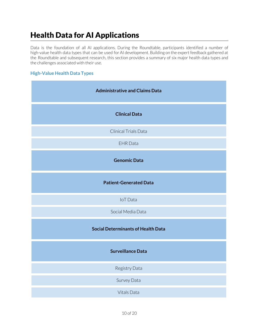# <span id="page-9-0"></span>Health Data for AI Applications

Data is the foundation of all AI applications. During the Roundtable, participants identified a number of high-value health data types that can be used for AI development. Building on the expert feedback gathered at the Roundtable and subsequent research, this section provides a summary of six major health data types and the challenges associated with their use.

### <span id="page-9-1"></span>**High-Value Health Data Types**

| <b>Administrative and Claims Data</b>     |
|-------------------------------------------|
| <b>Clinical Data</b>                      |
| Clinical Trials Data                      |
| <b>EHR Data</b>                           |
| <b>Genomic Data</b>                       |
| <b>Patient-Generated Data</b>             |
| IoT Data                                  |
| Social Media Data                         |
| <b>Social Determinants of Health Data</b> |
| <b>Surveillance Data</b>                  |
| Registry Data                             |
| Survey Data                               |
| Vitals Data                               |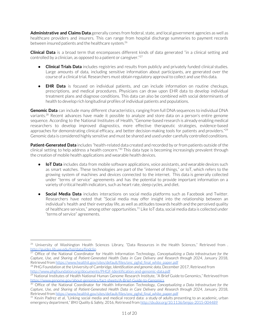**Administrative and Claims Data** generally comes from federal, state, and local government agencies as well as healthcare providers and insurers. This can range from hospital discharge summaries to payment records between insured patients and the healthcare system. 26

**Clinical Data** is a broad term that encompasses different kinds of data generated "in a clinical setting and controlled by a clinician, as opposed to a patient or caregiver." 27

- **Clinical Trials Data** includes registries and results from publicly and privately funded clinical studies. Large amounts of data, including sensitive information about participants, are generated over the course of a clinical trial. Researchers must obtain regulatory approval to collect and use this data.
- **● EHR Data** is focused on individual patients, and can include information on routine checkups, prescriptions, and medical procedures. Physicians can draw upon EHR data to develop individual treatment plans and diagnose conditions. This data can also be combined with social determinants of health to develop rich longitudinal profiles of individual patients and populations.

Genomic Data can include many different characteristics, ranging from full DNA sequences to individual DNA variants. $^{28}$  Recent advances have made it possible to analyze and store data on a person's entire genome sequence. According to the National Institutes of Health, "Genome-based research is already enabling medical researchers to develop improved diagnostics, more effective therapeutic strategies, evidence-based approaches for demonstrating clinical efficacy, and better decision-making tools for patients and providers."<sup>29</sup> Genomic data is considered highly sensitive and must be shared and used under carefully controlled conditions.

**Patient-Generated Data** includes "health-related data created and recorded by or from patients outside of the clinical setting to help address a health concern."<sup>30</sup> This data type is becoming increasingly prevalent through the creation of mobile health applications and wearable health devices.

- **IoT Data** includes data from mobile software applications, voice assistants, and wearable devices such as smart watches. These technologies are part of the "internet of things," or IoT, which refers to the growing system of machines and devices connected to the internet. This data is generally collected under "terms of service" agreements and has the potential to provide important information on a variety of critical health indicators, such as heart rate, sleep cycles, and diet.
- **Social Media Data** includes interactions on social media platforms such as Facebook and Twitter. Researchers have noted that "Social media may offer insight into the relationship between an individual's health and their everyday life, as well as attitudes towards health and the perceived quality of healthcare services," among other opportunities. $^{31}$  Like IoT data, social media data is collected under "terms of service" agreements.

<sup>&</sup>lt;sup>26</sup> University of Washington Health Sciences Library, "Data Resources in the Health Sciences," Retrieved from . <http://guides.lib.uw.edu/hsl/data/findclin>

<sup>27</sup> Office of the National Coordinator for Health Information Technology, *Conceptualizing a Data Infrastructure for the Capture, Use, and Sharing of Patient-Generated Health Data in Care Delivery and Research through 2024*, January 2018, Retrieved from [https://www.healthit.gov/sites/default/files/onc\\_pghd\\_final\\_white\\_paper.pdf](https://www.healthit.gov/sites/default/files/onc_pghd_final_white_paper.pdf)

<sup>28</sup> PHG Foundation at the University of Cambridge, *Identification and genomic data,* December 2017, Retrieved from <http://www.phgfoundation.org/documents/PHGF-Identification-and-genomic-data.pdf>

<sup>&</sup>lt;sup>29</sup> National Institutes of Health National Human Genome Research Institute, "A Brief Guide to Genomics," Retrieved from <https://www.genome.gov/about-genomics/fact-sheets/A-Brief-Guide-to-Genomics>

<sup>30</sup> Office of the National Coordinator for Health Information Technology, *Conceptualizing a Data Infrastructure for the Capture, Use, and Sharing of Patient-Generated Health Data in Care Delivery and Research through 2024*, January 2018, Retrieved from [https://www.healthit.gov/sites/default/files/onc\\_pghd\\_final\\_white\\_paper.pdf](https://www.healthit.gov/sites/default/files/onc_pghd_final_white_paper.pdf)

<sup>31</sup> Kevin Padrez *et al*, "Linking social media and medical record data: a study of adults presenting to an academic, urban emergency department," *BMJ Quality & Safety*, 2016, Retrieved from <http://dx.doi.org/10.1136/bmjqs-2015-004489>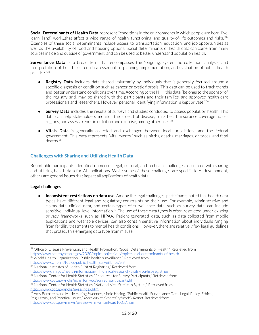**Social Determinants of Health Data** represent "conditions in the environments in which people are born, live, learn, [and] work...that affect a wide range of health, functioning, and quality-of-life outcomes and risks."<sup>32</sup> Examples of these social determinants include access to transportation, education, and job opportunities as well as the availability of food and housing options. Social determinants of health data can come from many sources inside and outside of government, and can be used to better understand population health.

**Surveillance Data** is a broad term that encompasses the "ongoing, systematic collection, analysis, and interpretation of health-related data essential to planning, implementation, and evaluation of public health practice." 33

- **Registry Data** includes data shared voluntarily by individuals that is generally focused around a specific diagnosis or condition such as cancer or cystic fibrosis. This data can be used to track trends and better understand conditions over time. According to the NIH, this data "belongs to the sponsor of the registry and...may be shared with the participants and their families, and approved health care professionals and researchers. However, personal, identifying information is kept private." 34
- **Survey Data** includes the results of surveys and studies conducted to assess population health. This data can help stakeholders monitor the spread of disease, track health insurance coverage across regions, and assess trends in nutrition and exercise, among other uses. 35
- **● Vitals Data** is generally collected and exchanged between local jurisdictions and the federal government. This data represents "vital events," such as births, deaths, marriages, divorces, and fetal deaths. 36

### <span id="page-11-0"></span>**Challenges with Sharing and Utilizing Health Data**

Roundtable participants identified numerous legal, cultural, and technical challenges associated with sharing and utilizing health data for AI applications. While some of these challenges are specific to AI development, others are general issues that impact all applications of health data.

#### **Legal challenges**

● **Inconsistent restrictions on data use.** Among the legal challenges, participants noted that health data types have different legal and regulatory constraints on their use. For example, administrative and claims data, clinical data, and certain types of surveillance data, such as survey data, can include sensitive, individual-level information. $^{37}$  The use of these data types is often restricted under existing privacy frameworks such as HIPAA. Patient-generated data, such as data collected from mobile applications and wearable devices, can also contain sensitive information about individuals ranging from fertility treatments to mental health conditions. However, there are relatively few legal guidelines that protect this emerging data type from misuse.

 $32$  Office of Disease Prevention, and Health Promotion, "Social Determinants of Health," Retrieved from https://www.healthypeople.gov/2020/topics-objectives/topic/social-determinants-of-health 33 World Health Organization, "Public health surveillance," Retrieved from

[https://www.who.int/topics/public\\_health\\_surveillance/en/](https://www.who.int/topics/public_health_surveillance/en/)

<sup>&</sup>lt;sup>34</sup> National Institutes of Health, "List of Registries," Retrieved from

<https://www.nih.gov/health-information/nih-clinical-research-trials-you/list-registries>

<sup>&</sup>lt;sup>35</sup> National Center for Health Statistics, "Resources for Survey Participants," Retrieved from

[https://www.cdc.gov/nchs/nchs\\_for\\_you/survey\\_participants.htm](https://www.cdc.gov/nchs/nchs_for_you/survey_participants.htm)

<sup>&</sup>lt;sup>36</sup> National Center for Health Statistics, "National Vital Statistics System," Retrieved from <https://www.cdc.gov/nchs/nvss/index.htm>

<sup>&</sup>lt;sup>37</sup> Amy Bernstein and Marie Haring Sweeney, Marie Haring, "Public Health Surveillance Data: Legal, Policy, Ethical, Regulatory, and Practical Issues," *Morbidity and Mortality Weekly Report*. Retrieved from <https://www.cdc.gov/mmwr/preview/mmwrhtml/su6103a7.htm>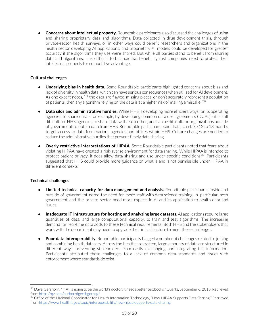● **Concerns about intellectual property.** Roundtable participants also discussed the challenges of using and sharing proprietary data and algorithms. Data collected in drug development trials, through private-sector health surveys, or in other ways could benefit researchers and organizations in the health sector developing AI applications, and proprietary AI models could be developed for greater accuracy if the algorithms they use were shared. But while all parties stand to benefit from sharing data and algorithms, it is difficult to balance that benefit against companies' need to protect their intellectual property for competitive advantage.

#### **Cultural challenges**

- **Underlying bias in health data.** Some Roundtable participants highlighted concerns about bias and lack of diversity in health data, which can have serious consequences when utilized for AI development. As one expert notes, "If the data are flawed, missing pieces, or don't accurately represent a population of patients, then any algorithm relying on the data is at a higher risk of making a mistake." $^{38}$
- **Data silos and administrative hurdles.** While HHS is developing more efficient ways forits operating agencies to share data - for example, by developing common data use agreements (DUAs) - it is still difficult for HHS agencies to share data with each other, and can be difficult for organizations outside of government to obtain data from HHS. Roundtable participants said that it can take 12 to 18 months to get access to data from various agencies and offices within HHS. Culture changes are needed to reduce the administrative hurdles that prevent timely data sharing.
- **Overly restrictive interpretations of HIPAA.** Some Roundtable participants noted that fears about violating HIPAA have created a risk-averse environment for data sharing. While HIPAA is intended to protect patient privacy, it does allow data sharing and use under specific conditions.<sup>39</sup> Participants suggested that HHS could provide more guidance on what is and is not permissible under HIPAA in different contexts.

#### **Technical challenges**

- **● Limited technical capacity for data management and analysis.** Roundtable participants inside and outside of government noted the need for more staff with data science training. In particular, both government and the private sector need more experts in AI and its application to health data and issues.
- **● Inadequate IT infrastructure for hosting and analyzing large datasets.** AI applications require large quantities of data, and large computational capacity, to train and test algorithms. The increasing demand for real-time data adds to these technical requirements. Both HHS and the stakeholders that work with the department may need to upgrade their infrastructure to meet these challenges.
- **● Poor data interoperability.** Roundtable participants flagged a number of challenges related to joining and combining health datasets. Across the healthcare system, large amounts of data are structured in different ways, preventing stakeholders from easily exchanging and integrating this information. Participants attributed these challenges to a lack of common data standards and issues with enforcement where standards do exist.

<sup>&</sup>lt;sup>38</sup> Dave Gershorn, "If AI is going to be the world's doctor, it needs better textbooks," Quartz, September 6, 2018. Retrieved from <https://qz.com/author/dgershgornqz/>

<sup>&</sup>lt;sup>39</sup> Office of the National Coordinator for Health Information Technology, "How HIPAA Supports Data Sharing," Retrieved from <https://www.healthit.gov/topic/interoperability/how-hipaa-supports-data-sharing>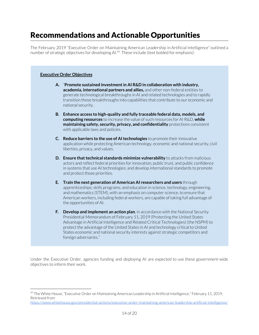# <span id="page-13-0"></span>Recommendations and Actionable Opportunities

The February 2019 "Executive Order on Maintaining American Leadership in Artificial Intelligence" outlined a number of strategic objectives for developing  $AI^{40}$  These include (text bolded for emphasis):

#### **Executive Order Objectives**

- **A.** "**Promote sustained investmentin AI R&D in collaboration with industry, academia, international partners and allies,** and other non-federal entities to generate technological breakthroughs in AI and related technologies and to rapidly transition those breakthroughs into capabilities that contribute to our economic and national security.
- **B. Enhance access to high-quality and fully traceable federal data, models, and computing resources** to increase the value of such resources for AI R&D, **while maintaining safety, security, privacy, and confidentiality** protections consistent with applicable laws and policies.
- **C.** Reduce barriers to the use of AI technologies to promote their innovative application while protecting American technology, economic and national security, civil liberties, privacy, and values.
- **D.** Ensure that technical standards minimize vulnerability to attacks from malicious actors and reflect federal priorities forinnovation, public trust, and public confidence in systems that use AI technologies; and develop international standards to promote and protect those priorities.
- **E. Train the next generation of American AI researchers and users** through apprenticeships; skills programs; and education in science, technology, engineering, and mathematics (STEM), with an emphasis on computer science, to ensure that American workers, including federal workers, are capable of taking full advantage of the opportunities of AI.
- **F. Develop and implement an action plan**, in accordance with the National Security Presidential Memorandum of February 11, 2019 (Protecting the United States Advantage in Artificial Intelligence and Related Critical Technologies) (the NSPM) to protect the advantage of the United States in AI and technology critical to United States economic and national security interests against strategic competitors and foreign adversaries."

Under the Executive Order, agencies funding and deploying AI are expected to use these government-wide objectives to inform their work.

<sup>&</sup>lt;sup>40</sup> The White House, "Executive Order on Maintaining American Leadership in Artificial Intelligence," February 11, 2019, Retrieved from

<https://www.whitehouse.gov/presidential-actions/executive-order-maintaining-american-leadership-artificial-intelligence/>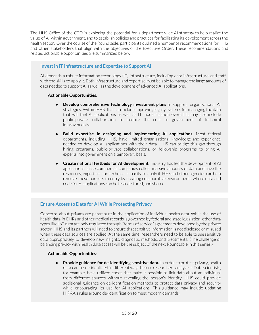The HHS Office of the CTO is exploring the potential for a department-wide AI strategy to help realize the value of AI within government, and to establish policies and practices forfacilitating its development across the health sector. Over the course of the Roundtable, participants outlined a number of recommendations for HHS and other stakeholders that align with the objectives of the Executive Order. These recommendations and related actionable opportunities are summarized below:

### **Investin IT Infrastructure and Expertise to Support AI**

AI demands a robust information technology (IT) infrastructure, including data infrastructure, and staff with the skills to apply it. Both infrastructure and expertise must be able to manage the large amounts of data needed to support AI as well as the development of advanced AI applications.

#### **Actionable Opportunities**:

- **● Develop comprehensive technology investment plans** to support organizational AI strategies. Within HHS, this can include improving legacy systems for managing the data that will fuel AI applications as well as IT modernization overall. It may also include public-private collaboration to reduce the cost to government of technical improvements.
- **● Build expertise in designing and implementing AI applications.** Most federal departments, including HHS, have limited organizational knowledge and experience needed to develop AI applications with their data. HHS can bridge this gap through hiring programs, public-private collaborations, or fellowship programs to bring AI experts into government on a temporary basis.
- **● Create national testbeds for AI development.** Industry has led the development of AI applications, since commercial companies collect massive amounts of data and have the resources, expertise, and technical capacity to apply it. HHS and other agencies can help remove these barriers to entry by creating collaborative environments where data and code for AI applications can be tested, stored, and shared.

#### <span id="page-14-0"></span>**Ensure Access to Data for AI While Protecting Privacy**

Concerns about privacy are paramount in the application of individual health data. While the use of health data in EHRs and other medical records is governed by federal and state legislation, other data types like IoT data are only regulated through "terms of service" agreements developed by the private sector. HHS and its partners will need to ensure that sensitive information is not disclosed or misused when these data sources are applied. At the same time, researchers need to be able to use sensitive data appropriately to develop new insights, diagnostic methods, and treatments. (The challenge of balancing privacy with health data access will be the subject of the next Roundtable in this series.)

#### **Actionable Opportunities**:

● **Provide guidance for de-identifying sensitive data.** In order to protect privacy, health data can be de-identified in different ways before researchers analyze it. Data scientists, for example, have utilized codes that make it possible to link data about an individual from different sources without revealing the person's identity. HHS could provide additional guidance on de-identification methods to protect data privacy and security while encouraging its use for AI applications. This guidance may include updating HIPAA's rules around de-identification to meet modern demands.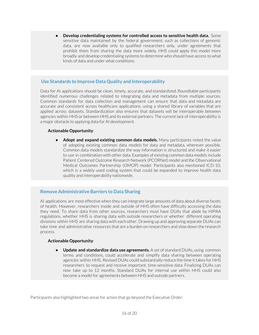● **Develop credentialing systems for controlled access to sensitive health data.** Some sensitive data maintained by the federal government, such as collections of genomic data, are now available only to qualified researchers only, under agreements that prohibit them from sharing the data more widely. HHS could apply this model more broadly and develop credentialing systems to determine who should have access to what kinds of data and under what conditions.

#### <span id="page-15-0"></span>**Use Standards to Improve Data Quality and Interoperability**

Data for AI applications should be clean, timely, accurate, and standardized. Roundtable participants identified numerous challenges related to integrating data and metadata from multiple sources. Common standards for data collection and management can ensure that data and metadata are accurate and consistent across healthcare applications, using a shared library of variables that are applied across datasets. Standardization also ensures that datasets will be interoperable between agencies within HHS or between HHS and its external partners. The current lack of interoperability is a major obstacle to applying data for AI development.

#### **Actionable Opportunity**:

● **Adopt and expand existing common data models.** Many participants noted the value of adopting existing common data models for data and metadata, wherever possible. Common data models standardize the way information is structured and make it easier to use in combination with other data. Examples of existing common data models include Patient Centered Outcome Research Network (PCORNet) model and the Observational Medical Outcomes Partnership (OMOP) model. Participants also mentioned ICD-10, which is a widely used coding system that could be expanded to improve health data quality and interoperability nationwide.

#### <span id="page-15-1"></span>**Remove Administrative Barriers to Data Sharing**

AI applications are most effective when they can integrate large amounts of data about diverse facets of health. However, researchers inside and outside of HHS often have difficulty accessing the data they need. To share data from other sources, researchers must have DUAs that abide by HIPAA regulations, whether HHS is sharing data with outside researchers or whether different operating divisions within HHS are sharing data with each other. Drawing up and approving separate DUAs can take time and administrative resources that are a burden on researchers and slow down the research process.

#### **Actionable Opportunity**:

● **Update and standardize data use agreements.** A set of standard DUAs, using common terms and conditions, could accelerate and simplify data sharing between operating agencies within HHS. Revised DUAs could substantially reduce the time it takes for HHS researchers to request and receive important, time-sensitive data: Finalizing DUAs can now take up to 12 months. Standard DUAs for internal use within HHS could also become a model for agreements between HHS and outside partners.

Participants also highlighted two areas for action that go beyond the Executive Order: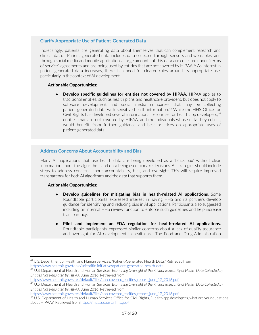### <span id="page-16-0"></span>**Clarify Appropriate Use of Patient-Generated Data**

Increasingly, patients are generating data about themselves that can complement research and clinical data.<sup>41</sup> Patient-generated data includes data collected through sensors and wearables, and through social media and mobile applications. Large amounts of this data are collected under "terms of service" agreements and are being used by entities that are not covered by HIPAA. $^{42}$  As interest in patient-generated data increases, there is a need for clearer rules around its appropriate use, particularly in the context of AI development.

#### **Actionable Opportunities**:

● **Develop specific guidelines for entities not covered by HIPAA.** HIPAA applies to traditional entities, such as health plans and healthcare providers, but does not apply to software development and social media companies that may be collecting patient-generated data with sensitive health information.<sup>43</sup> While the HHS Office for Civil Rights has developed several informational resources for health app developers, 44 entities that are not covered by HIPAA, and the individuals whose data they collect, would benefit from further guidance and best practices on appropriate uses of patient-generated data.

#### <span id="page-16-1"></span>**Address Concerns About Accountability and Bias**

Many AI applications that use health data are being developed as a "black box" without clear information about the algorithms and data being used to make decisions. AI strategies should include steps to address concerns about accountability, bias, and oversight. This will require improved transparency for both AI algorithms and the data that supports them.

#### **Actionable Opportunities:**

- **Develop guidelines for mitigating bias in health-related AI applications**. Some Roundtable participants expressed interest in having HHS and its partners develop guidance for identifying and reducing bias in AI applications. Participants also suggested including an internal HHS review function to enforce such guidelines and help increase transparency.
- **Pilot and implement an FDA regulation for health-related AI applications.** Roundtable participants expressed similar concerns about a lack of quality assurance and oversight for AI development in healthcare. The Food and Drug Administration

<sup>41</sup> U.S. Department of Health and Human Services, "Patient-Generated Health Data," Retrieved from <https://www.healthit.gov/topic/scientific-initiatives/patient-generated-health-data>

<sup>42</sup> U.S. Department of Health and Human Services, *Examining Oversight of the Privacy & Security of Health Data Collected by Entities Not Regulated by HIPAA*, June 2016, Retrieved from

https://www.healthit.gov/sites/default/files/non-covered\_entities\_report\_iune\_17\_2016.pdf

<sup>43</sup> U.S. Department of Health and Human Services, *Examining Oversight of the Privacy & Security of Health Data Collected by Entities Not Regulated by HIPAA*, June 2016, Retrieved from

[https://www.healthit.gov/sites/default/files/non-covered\\_entities\\_report\\_june\\_17\\_2016.pdf](https://www.healthit.gov/sites/default/files/non-covered_entities_report_june_17_2016.pdf)

<sup>44</sup> U.S. Department of Health and Human Services Office for Civil Rights, "Health app developers, what are your questions about HIPAA?" Retrieved from <https://hipaaqsportal.hhs.gov/>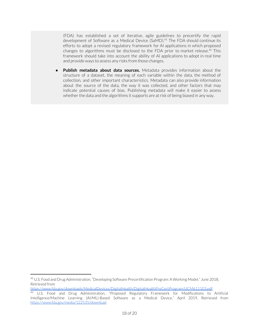(FDA) has established a set of iterative, agile guidelines to precertify the rapid development of Software as a Medical Device (SaMD).<sup>45</sup> The FDA should continue its efforts to adopt a revised regulatory framework for AI applications in which proposed changes to algorithms must be disclosed to the FDA prior to market release.<sup>46</sup> This framework should take into account the ability of AI applications to adopt in real time and provide ways to assess any risks from those changes.

● **Publish metadata about data sources.** Metadata provides information about the structure of a dataset, the meaning of each variable within the data, the method of collection, and other important characteristics. Metadata can also provide information about the source of the data, the way it was collected, and other factors that may indicate potential causes of bias. Publishing metadata will make it easier to assess whether the data and the algorithms it supports are at risk of being biased in any way.

<https://www.fda.gov/downloads/MedicalDevices/DigitalHealth/DigitalHealthPreCertProgram/UCM611103.pdf>

<sup>45</sup> U.S. Food and Drug Administration, "Developing Software Precertification Program: A Working Model," June 2018, Retrieved from

<sup>46</sup> U.S. Food and Drug Administration, "Proposed Regulatory Framework for Modifications to Artificial Intelligence/Machine Learning (AI/ML)-Based Software as a Medical Device," April 2019, Retrieved from <https://www.fda.gov/media/122535/download>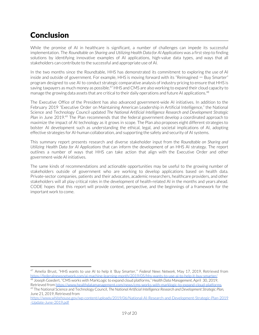# <span id="page-18-0"></span>Conclusion

While the promise of AI in healthcare is significant, a number of challenges can impede its successful implementation. The *Roundtable on Sharing and Utilizing Health Data for AI Applications* was a first step to finding solutions by identifying innovative examples of AI applications, high-value data types, and ways that all stakeholders can contribute to the successful and appropriate use of AI.

In the two months since the Roundtable, HHS has demonstrated its commitment to exploring the use of AI inside and outside of government. For example, HHS is moving forward with its "Reimagined  $-$  Buy Smarter" program designed to use AI to conduct strategic comparative analysis of industry pricing to ensure that HHS is saving taxpayers as much money as possible. $^{47}$  HHS and CMS are also working to expand their cloud capacity to manage the growing data assets that are critical to their daily operations and future AI applications.<sup>48</sup>

The Executive Office of the President has also advanced government-wide AI initiatives. In addition to the February 2019 "Executive Order on Maintaining American Leadership in Artificial Intelligence," the National Science and Technology Council updated *The National Artificial Intelligence Research and Development Strategic* Plan in June 2019.<sup>49</sup> The Plan recommends that the federal government develop a coordinated approach to maximize the impact of AI technology as it grows in scope. The Plan also proposes eight different strategies to bolster AI development such as understanding the ethical, legal, and societal implications of AI, adopting effective strategies for AI-human collaboration, and supporting the safety and security of AI systems.

This summary report presents research and diverse stakeholder input from the *Roundtable on Sharing and Utilizing Health Data for AI Applications* that can inform the development of an HHS AI strategy. The report outlines a number of ways that HHS can take action that align with the Executive Order and other government-wide AI initiatives.

The same kinds of recommendations and actionable opportunities may be useful to the growing number of stakeholders outside of government who are working to develop applications based on health data. Private-sector companies, patients and their advocates, academic researchers, healthcare providers, and other stakeholders will all play critical roles in the development of health-related AI in the months and years ahead. CODE hopes that this report will provide context, perspective, and the beginnings of a framework for the important work to come.

<sup>47</sup> Amelia Brust, "HHS wants to use AI to help it 'Buy Smarter,'" *Federal News Network*, May 17, 2019, Retrieved from <https://federalnewsnetwork.com/ai-machine-learning-month/2019/05/hhs-wants-to-use-ai-to-help-it-buy-smarter/> <sup>48</sup> Joseph Goedert, "CMS works with MarkLogic to expand cloud platforms," *Health Data Management*, April 30, 2019, Retrieved from <https://www.healthdatamanagement.com/news/cms-works-with-marklogic-to-expand-cloud-platforms>

<sup>49</sup> The National Science and Technology Council, *The National Artificial Intelligence Research and Development Strategic Plan,* June 21, 2019, Retrieved from

[https://www.whitehouse.gov/wp-content/uploads/2019/06/National-AI-Research-and-Development-Strategic-Plan-2019](https://www.whitehouse.gov/wp-content/uploads/2019/06/National-AI-Research-and-Development-Strategic-Plan-2019-Update-June-2019.pdf) [-Update-June-2019.pdf](https://www.whitehouse.gov/wp-content/uploads/2019/06/National-AI-Research-and-Development-Strategic-Plan-2019-Update-June-2019.pdf)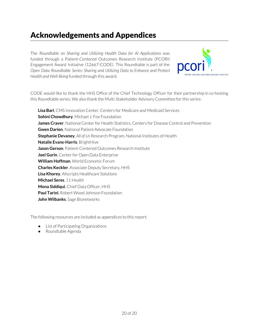# <span id="page-19-0"></span>Acknowledgements and Appendices

The *Roundtable on Sharing and Utilizing Health Data for AI Applications* was funded through a Patient-Centered Outcomes Research Institute (PCORI) Engagement Award Initiative (12667-CODE). This Roundtable is part of the *Open Data Roundtable Series: Sharing and Utilizing Data to Enhance and Protect Health and Well-Being* funded through this award.



CODE would like to thank the HHS Office of the Chief Technology Officer for their partnership in co-hosting this Roundtable series. We also thank the Multi-Stakeholder Advisory Committee forthis series:

**Lisa Bari**, CMS Innovation Center, Centers for Medicare and Medicaid Services **Sohini Chowdhury**, Michael J. Fox Foundation **James Craver**, National Centerfor Health Statistics, Centers for Disease Control and Prevention **Gwen Darien**, National Patient Advocate Foundation **Stephanie Devaney**, *All of Us* Research Program, National Institutes of Health **Natalie Evans-Harris**, BrightHive **Jason Gerson**, Patient-Centered Outcomes Research Institute **Joel Gurin**, Center for Open Data Enterprise **William Hoffman**, World Economic Forum **Charles Keckler**, Associate Deputy Secretary, HHS **Lisa Khorey**, Allscripts Healthcare Solutions **Michael Seres**, 11 Health **Mona Siddiqui**, Chief Data Officer, HHS **Paul Tarini**, Robert Wood Johnson Foundation **John Wilbanks**, Sage Bionetworks

The following resources are included as appendices to this report:

- List of Participating Organizations
- Roundtable Agenda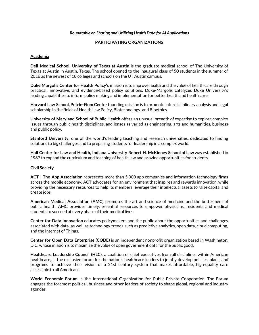#### *Roundtable on Sharing and Utilizing Health Data for AI Applications*

#### **PARTICIPATING ORGANIZATIONS**

#### **Academia**

**Dell Medical School, University of Texas at Austin** is the graduate medical school of The University of Texas at Austin in Austin, Texas. The school opened to the inaugural class of 50 students in the summer of 2016 as the newest of 18 colleges and schools on the UT Austin campus.

**Duke Margolis Center for Health Policy's** mission is to improve health and the value of health care through practical, innovative, and evidence-based policy solutions. Duke-Margolis catalyzes Duke University's leading capabilities to inform policy making and implementation for better health and health care.

**Harvard Law School, Petrie-Flom Center** founding mission is to promote interdisciplinary analysis and legal scholarship in the fields of Health Law Policy, Biotechnology, and Bioethics.

**University of Maryland School of Public Health** offers an unusual breadth of expertise to explore complex issues through public health disciplines, and lenses as varied as engineering, arts and humanities, business and public policy.

**Stanford University**, one of the world's leading teaching and research universities, dedicated to finding solutions to big challenges and to preparing students for leadership in a complex world.

**Hall Center for Law and Health, Indiana University Robert H. McKinney School of Law** was established in 1987 to expand the curriculum and teaching of health law and provide opportunities for students.

#### **Civil Society**

**ACT | The App Association** represents more than 5,000 app companies and information technology firms across the mobile economy. ACT advocates for an environment that inspires and rewards innovation, while providing the necessary resources to help its members leverage their intellectual assets to raise capital and create jobs.

**American Medical Association (AMC)** promotes the art and science of medicine and the betterment of public health. AMC provides timely, essential resources to empower physicians, residents and medical students to succeed at every phase of their medical lives.

**Center for Data Innovation** educates policymakers and the public about the opportunities and challenges associated with data, as well as technology trends such as predictive analytics, open data, cloud computing, and the Internet of Things.

**Center for Open Data Enterprise (CODE)** is an independent nonprofit organization based in Washington, D.C. whose mission is to maximize the value of open government data for the public good.

**Healthcare Leadership Council (HLC)**, a coalition of chief executives from all disciplines within American healthcare, is the exclusive forum for the nation's healthcare leaders to jointly develop policies, plans, and programs to achieve their vision of a 21st century system that makes affordable, high-quality care accessible to all Americans.

**World Economic Forum** is the International Organization for Public-Private Cooperation. The Forum engages the foremost political, business and other leaders of society to shape global, regional and industry agendas.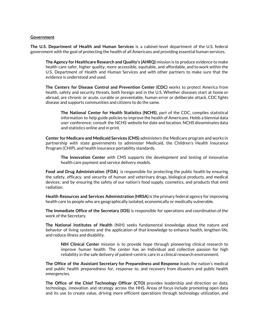#### **Government**

**The U.S. Department of Health and Human Services** is a [cabinet-level](https://en.wikipedia.org/wiki/Cabinet_of_the_United_States) department of the [U.S.](https://en.wikipedia.org/wiki/United_States) [federal](https://en.wikipedia.org/wiki/Federal_government_of_the_United_States) [government](https://en.wikipedia.org/wiki/Federal_government_of_the_United_States) with the goal of protecting the [health](https://en.wikipedia.org/wiki/Health) of all Americans and providing essential human services.

**The Agency for Healthcare Research and Quality's (AHRQ)** mission is to produce evidence to make health care safer, higher quality, more accessible, equitable, and affordable, and to work within the U.S. Department of Health and Human Services and with other partners to make sure that the evidence is understood and used.

**The Centers for Disease Control and Prevention Center (CDC)** works to protect America from health, safety and security threats, both foreign and in the U.S. Whether diseases start at home or abroad, are chronic or acute, curable or preventable, human error or deliberate attack, CDC fights disease and supports communities and citizens to do the same.

**The National Center for Health Statistics (NCHS)**, part of the CDC, compiles statistical information to help guide policies to improve the health of Americans. Holds a biennial data user conference; consult the NCHS website for date and location. NCHS disseminates data and statistics online and in print.

**Center for Medicare and Medicaid Services (CMS)** administers the Medicare program and works in partnership with state governments to administer Medicaid, the Children's Health Insurance Program (CHIP), and health insurance portability standards.

**The Innovation Center** with CMS supports the development and testing of innovative health care payment and service delivery models.

**Food and Drug Administration (FDA)** is responsible for protecting the public health by ensuring the safety, efficacy, and security of human and veterinary drugs, biological products, and medical devices; and by ensuring the safety of our nation's food supply, cosmetics, and products that emit radiation.

**Health Resources and Services Administration (HRSA)** is the primary federal agency for improving health care to people who are geographically isolated, economically or medically vulnerable.

**The Immediate Office of the Secretary (IOS)** is responsible for operations and coordination of the work of the Secretary.

**The National Institutes of Health** (NIH) seeks fundamental knowledge about the nature and behavior of living systems and the application of that knowledge to enhance health, lengthen life, and reduce illness and disability.

**NIH Clinical Center** mission is to provide hope through pioneering clinical research to improve human health. The center has an Individual and collective passion for high reliability in the safe delivery of patient-centric care in a clinical research environment.

**The Office of the Assistant Secretary for Preparedness and Response** leads the nation's medical and public health preparedness for, response to, and recovery from disasters and public health emergencies.

**The Office of the Chief Technology Officer (CTO)** provides leadership and direction on data, technology, innovation and strategy across the HHS. Areas of focus include promoting open data and its use to create value, driving more efficient operations through technology utilization, and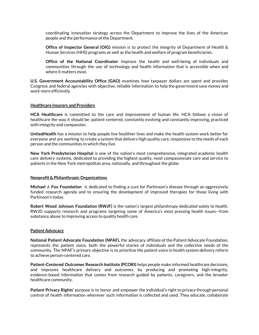coordinating innovation strategy across the Department to improve the lives of the American people and the performance of the Department.

**Office of Inspector General (OIG)** mission is to protect the integrity of Department of Health & Human Services (HHS) programs as well as the health and welfare of program beneficiaries.

**Office of the National Coordinator** Improve the health and well-being of individuals and communities through the use of technology and health information that is accessible when and where it matters most.

**U.S. Government Accountability Office (GAO)** examines how taxpayer dollars are spent and provides Congress and federal agencies with objective, reliable information to help the government save money and work more efficiently.

#### **Healthcare Insurers and Providers**

**HCA Healthcare** is committed to the care and improvement of human life. HCA follows a vision of healthcare the way it should be: patient-centered, constantly evolving and constantly improving, practiced with integrity and compassion.

**UnitedHealth** has a mission to help people live healthier lives and make the health system work better for everyone and are working to create a system that delivers high quality care, responsive to the needs of each person and the communities in which they live.

**New York Presbyterian Hospital** is one of the nation's most comprehensive, integrated academic health care delivery systems, dedicated to providing the highest quality, most compassionate care and service to patients in the New York metropolitan area, nationally, and throughout the globe.

#### **Nonprofit & Philanthropic Organizations**

**Michael J. Fox Foundation** is dedicated to finding a cure for Parkinson's disease through an aggressively funded research agenda and to ensuring the development of improved therapies for those living with Parkinson's today.

**Robert Wood Johnson Foundation (RWJF)** is the nation's largest philanthropy dedicated solely to health. RWJD supports research and programs targeting some of America's most pressing health issues—from substance abuse to improving access to quality health care.

#### **Patient Advocacy**

**National Patient Advocate Foundation (NPAF),** the advocacy affiliate of the Patient Advocate Foundation, represents the patient voice, both the powerful stories of individuals and the collective needs of the community. The NPAF's primary objective is to prioritize the patient voice in health system delivery reform to achieve person-centered care.

**Patient-Centered Outcomes Research Institute (PCORI)** helps people make informed healthcare decisions, and improves healthcare delivery and outcomes, by producing and promoting high-integrity, evidence-based information that comes from research guided by patients, caregivers, and the broader healthcare community.

**Patient Privacy Rights'** purpose is to honor and empower the individual's right to privacy through personal control of health information wherever such information is collected and used. They educate, collaborate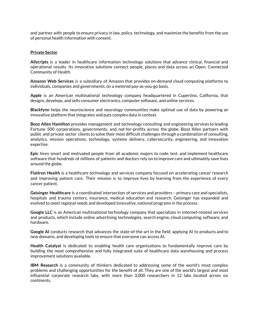and partner with people to ensure privacy in law, policy, technology, and maximize the benefits from the use of personal health information with consent.

#### **Private Sector**

**Allscripts** is a leader in healthcare information technology solutions that advance clinical, financial and operational results. Its innovative solutions connect people, places and data across an Open, Connected Community of Health.

**Amazon Web Services** is a subsidiary of Amazon that provides on-demand cloud computing platforms to individuals, companies and governments, on a metered pay-as-you-go basis.

**Apple** is an American multinational technology company headquartered in Cupertino, California, that designs, develops, and sells consumer electronics, computer software, and online services.

**Blackfynn** helps the neuroscience and neurology communities make optimal use of data by powering an innovative platform that integrates and puts complex data in context.

**Booz Allen Hamilton** provides management and technology consulting and engineering services to leading Fortune 500 corporations, governments, and not-for-profits across the globe. Booz Allen partners with public and private sector clients to solve their most difficult challenges through a combination of consulting, analytics, mission operations, technology, systems delivery, cybersecurity, engineering, and innovation expertise.

**Epic** hires smart and motivated people from all academic majors to code, test, and implement healthcare software that hundreds of millions of patients and doctors rely on to improve care and ultimately save lives around the globe.

**FlatIron Health** is a healthcare technology and services company focused on accelerating cancer research and improving patient care. Their mission is to improve lives by learning from the experience of every cancer patient.

**Geisinger Healthcare** is a coordinated intersection of services and providers – primary care and specialists, hospitals and trauma centers, insurance, medical education and research. Geisinger has expanded and evolved to meet regional needs and developed innovative, national programs in the process.

**Google LLC** is an American multinational technology company that specializes in Internet-related services and products, which include online advertising technologies, search engine, cloud computing, software, and hardware.

**Google AI** conducts research that advances the state-of-the-art in the field, applying AI to products and to new domains, and developing tools to ensure that everyone can access AI.

**Health Catalyst** is dedicated to enabling health care organizations to fundamentally improve care by building the most comprehensive and fully integrated suite of healthcare data warehousing and process improvement solutions available.

**IBM Research** is a community of thinkers dedicated to addressing some of the world's most complex problems and challenging opportunities for the benefit of all. They are one of the world's largest and most influential corporate research labs, with more than 3,000 researchers in 12 labs located across six continents.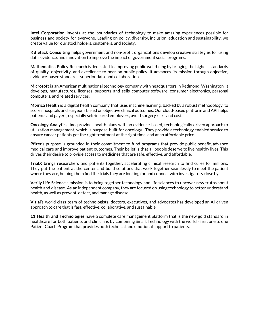**Intel Corporation** invents at the boundaries of technology to make amazing experiences possible for business and society for everyone. Leading on policy, diversity, inclusion, education and sustainability, we create value for our stockholders, customers, and society.

**KB Stack Consulting** helps government and non-profit organizations develop creative strategies for using data, evidence, and innovation to improve the impact of government social programs.

**Mathematica Policy Research** is dedicated to improving public well-being by bringing the highest standards of quality, objectivity, and excellence to bear on public policy. It advances its mission through objective, evidence-based standards, superior data, and collaboration.

**Microsoft** is an American multinational technology company with headquarters in Redmond, Washington. It develops, manufactures, licenses, supports and sells computer software, consumer electronics, personal computers, and related services.

**Mpirica Health** is a digital health company that uses machine learning, backed by a robust methodology, to scores hospitals and surgeons based on objective clinical outcomes. Our cloud-based platform and API helps patients and payers, especially self-insured employers, avoid surgery risks and costs.

**Oncology Analytics, Inc.** provides health plans with an evidence-based, technologically driven approach to utilization management, which is purpose-built for oncology. They provide a technology enabled service to ensure cancer patients get the right treatment at the right time, and at an affordable price.

**Pfizer**'s purpose is grounded in their commitment to fund programs that provide public benefit, advance medical care and improve patient outcomes. Their belief is that all people deserve to live healthy lives. This drives their desire to provide access to medicines that are safe, effective, and affordable.

**TrialX** brings researchers and patients together, accelerating clinical research to find cures for millions. They put the patient at the center and build solutions that work together seamlessly to meet the patient where they are, helping them find the trials they are looking for and connect with investigators close by.

**Verily Life Science**'s mission is to bring together technology and life sciences to uncover new truths about health and disease. As an independent company, they are focused on using technology to better understand health, as well as prevent, detect, and manage disease.

**Viz.ai**'s world class team of technologists, doctors, executives, and advocates has developed an AI-driven approach to care that is fast, effective, collaborative, and sustainable.

**11 Health and Technologies** have a complete care management platform that is the new gold standard in healthcare for both patients and clinicians by combining Smart Technology with the world's first one to one Patient Coach Program that provides both technical and emotional support to patients.